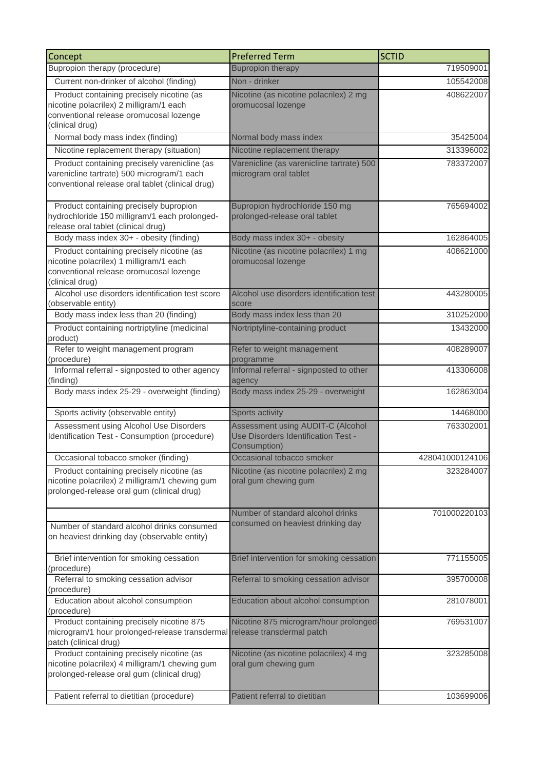| Concept                                                                                                                                            | <b>Preferred Term</b>                                                                    | <b>SCTID</b>    |
|----------------------------------------------------------------------------------------------------------------------------------------------------|------------------------------------------------------------------------------------------|-----------------|
| Bupropion therapy (procedure)                                                                                                                      | <b>Bupropion therapy</b>                                                                 | 719509001       |
| Current non-drinker of alcohol (finding)                                                                                                           | Non - drinker                                                                            | 105542008       |
| Product containing precisely nicotine (as<br>nicotine polacrilex) 2 milligram/1 each<br>conventional release oromucosal lozenge                    | Nicotine (as nicotine polacrilex) 2 mg<br>oromucosal lozenge                             | 408622007       |
| (clinical drug)                                                                                                                                    |                                                                                          |                 |
| Normal body mass index (finding)                                                                                                                   | Normal body mass index                                                                   | 35425004        |
| Nicotine replacement therapy (situation)                                                                                                           | Nicotine replacement therapy                                                             | 313396002       |
| Product containing precisely varenicline (as<br>varenicline tartrate) 500 microgram/1 each<br>conventional release oral tablet (clinical drug)     | Varenicline (as varenicline tartrate) 500<br>microgram oral tablet                       | 783372007       |
| Product containing precisely bupropion<br>hydrochloride 150 milligram/1 each prolonged-<br>release oral tablet (clinical drug)                     | Bupropion hydrochloride 150 mg<br>prolonged-release oral tablet                          | 765694002       |
| Body mass index 30+ - obesity (finding)                                                                                                            | Body mass index 30+ - obesity                                                            | 162864005       |
| Product containing precisely nicotine (as<br>nicotine polacrilex) 1 milligram/1 each<br>conventional release oromucosal lozenge<br>(clinical drug) | Nicotine (as nicotine polacrilex) 1 mg<br>oromucosal lozenge                             | 408621000       |
| Alcohol use disorders identification test score<br>(observable entity)                                                                             | Alcohol use disorders identification test<br>score                                       | 443280005       |
| Body mass index less than 20 (finding)                                                                                                             | Body mass index less than 20                                                             | 310252000       |
| Product containing nortriptyline (medicinal<br>product)                                                                                            | Nortriptyline-containing product                                                         | 13432000        |
| Refer to weight management program<br>(procedure)                                                                                                  | Refer to weight management<br>programme                                                  | 408289007       |
| Informal referral - signposted to other agency<br>(finding)                                                                                        | Informal referral - signposted to other<br>agency                                        | 413306008       |
| Body mass index 25-29 - overweight (finding)                                                                                                       | Body mass index 25-29 - overweight                                                       | 162863004       |
| Sports activity (observable entity)                                                                                                                | Sports activity                                                                          | 14468000        |
| Assessment using Alcohol Use Disorders<br>Identification Test - Consumption (procedure)                                                            | Assessment using AUDIT-C (Alcohol<br>Use Disorders Identification Test -<br>Consumption) | 763302001       |
| Occasional tobacco smoker (finding)                                                                                                                | Occasional tobacco smoker                                                                | 428041000124106 |
| Product containing precisely nicotine (as<br>nicotine polacrilex) 2 milligram/1 chewing gum<br>prolonged-release oral gum (clinical drug)          | Nicotine (as nicotine polacrilex) 2 mg<br>oral gum chewing gum                           | 323284007       |
| Number of standard alcohol drinks consumed<br>on heaviest drinking day (observable entity)                                                         | Number of standard alcohol drinks<br>consumed on heaviest drinking day                   | 701000220103    |
| Brief intervention for smoking cessation<br>(procedure)                                                                                            | Brief intervention for smoking cessation                                                 | 771155005       |
| Referral to smoking cessation advisor<br>(procedure)                                                                                               | Referral to smoking cessation advisor                                                    | 395700008       |
| Education about alcohol consumption<br>(procedure)                                                                                                 | Education about alcohol consumption                                                      | 281078001       |
| Product containing precisely nicotine 875<br>microgram/1 hour prolonged-release transdermal release transdermal patch<br>patch (clinical drug)     | Nicotine 875 microgram/hour prolonged-                                                   | 769531007       |
| Product containing precisely nicotine (as<br>nicotine polacrilex) 4 milligram/1 chewing gum<br>prolonged-release oral gum (clinical drug)          | Nicotine (as nicotine polacrilex) 4 mg<br>oral gum chewing gum                           | 323285008       |
| Patient referral to dietitian (procedure)                                                                                                          | Patient referral to dietitian                                                            | 103699006       |